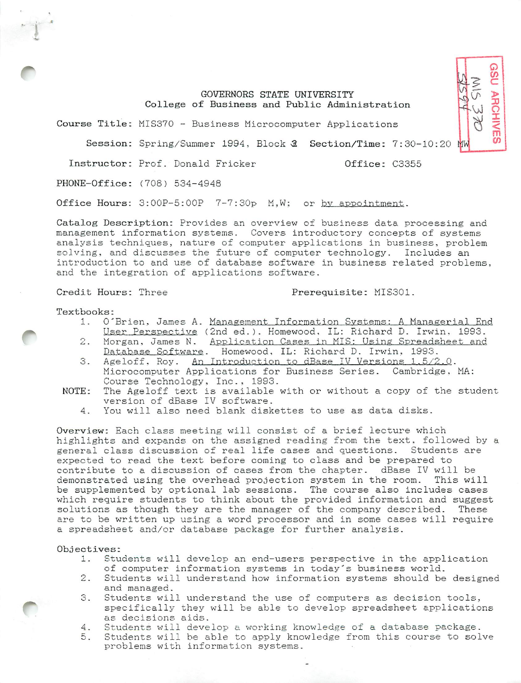## GOVERNORS STATE UNIVERSITY College of Business and Public Administration

Course Title: MIS370 - Business Microcomputer Applications

Session: Spring/Summer 1994, Block 2 Section/Time: 7:30-10:20 MW

Instructor: Prof. Donald Fricker **COLL COLL COLL** 0ffice: C3355

PHONE-Office: (708) 534-4948

Office Hours: 3:00P-5:00P 7-7:30p M,W; or by appointment.

Catalog Description: Provides an overview of business data processing and management information systems. Covers introductory concepts of systems analysis techniques, nature of computer applications in business, problem solving, and discusses the future of computer technology. Includes an introduction to and use of database software in business related problems, and the integration of applications software.

Credit Hours: Three Prerequisite: MIS301.

**GSU ARCHIVES** 

Textbooks:

*i*

- 1. O'Brien, James A. Management Information Systems: A Managerial End-User Perspective (2nd ed.). Homewood, IL: Richard D. Irwin, 1993.
- 2. Morgan, James N. Application Cases in MIS: Using Spreadsheet and Database Software. Homewood, IL: Richard D. Irwin, 1993.
- 3. Ageloff. Roy. An Introduction to dBase IV Versions 1.5/2.0. Microcomputer Applications for Business Series. Cambridge. MA: Course Technology, Inc., 1993.
- NOTE: The Ageloff text is available with or without a copy of the student version of dBase IV software.
	- 4. You will also need blank diskettes to use as data disks.

Overview: Each class meeting will consist of a brief lecture which highlights and expands on the assigned reading from the text, followed by a general class discussion of real life cases and questions. Students are expected to read the text before coming to class and be prepared to contribute to a discussion of cases from the chapter. dBase IV will be demonstrated using the overhead projection system in the room. This will be supplemented by optional lab sessions. The course also includes cases which require students to think about the provided information and suggest solutions as though they are the manager of the company described. These are to be written up using a word processor and in some cases will require a spreadsheet and/or database package for further analysis.

### Objectives:

- 1. Students will develop an end-users perspective in the application of computer information systems in today's business world.
- 2. Students will understand how information systems should be designed and managed.
- 3. Students will understand the use of computers as decision tools, specifically they will be able to develop spreadsheet applications as decisions aids.
- 4. Students will develop a working knowledge of a database package.
- 5. Students will be able to apply knowledge from this course to solve problems with information systems.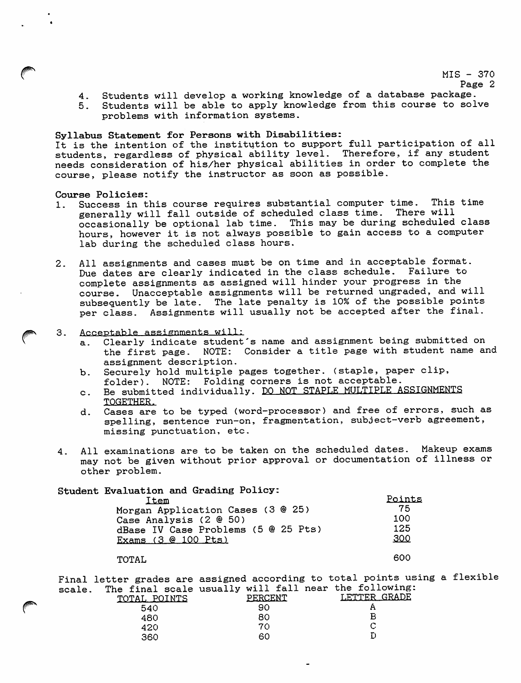**f** MIS – 370

- 4. Students will develop a working knowledge of a database package.
- 5. Students will be able to apply knowledge from this course to solve problems with information systems.

## Syllabus Statement for Persons with Disabilities:

It is the intention of the institution to support full participation of all students, regardless of physical ability level. Therefore, if any student needs consideration of his/her physical abilities in order to complete the course, please notify the instructor as soon as possible.

#### Course Policies:

- 1. Success in this course requires substantial computer time. This time<br>generally will fall outside of scheduled class time. There will generally will fall outside of scheduled class time. occasionally be optional lab time. This may be during scheduled class hours, however it is not always possible to gain access to a computer lab during the scheduled class hours.
- 2. All assignments and cases must be on time and in acceptable format. Due dates are clearly indicated in the class schedule. Failure to complete assignments as assigned will hinder your progress in the course. Unacceptable assignments will be returned ungraded, and will subsequently be late. The late penalty is 10% of the possible points per class. Assignments will usually not be accepted after the final.
- 3. Acceptable assignments will:<br>a. Clearly indicate student
	- Clearly indicate student's name and assignment being submitted on the first page. NOTE: Consider a title page with student name and assignment description.
	- b. Securely hold multiple pages together, (staple, paper clip, folder). NOTE: Folding corners is not acceptable.
	- c. Be submitted individually. DO NOT STAPLE MULTIPLE ASSIGNMENTS TOGETHER.
	- d. Cases are to be typed (word-processor) and free of errors, such as spelling, sentence run-on, fragmentation, subject-verb agreement, missing punctuation, etc.
- 4. All examinations are to be taken on the scheduled dates. Makeup exams may not be given without prior approval or documentation of illness or other problem.

# Student Evaluation and Grading Policy:

| Item                                | Points |
|-------------------------------------|--------|
| Morgan Application Cases (3 @ 25)   | 75     |
| Case Analysis (2 @ 50)              | 100    |
| dBase IV Case Problems (5 @ 25 Pts) | 125    |
| Exams (3 @ 100 Pts)                 | 300    |
|                                     |        |

### TOTAL 600

Final letter grades are assigned according to total points using a flexible scale. The final scale usually will fall near the following:

|   | ------ | - -- ----- -----<br>TOTAL POINTS | PERCENT | --<br>LETTER GRADE |
|---|--------|----------------------------------|---------|--------------------|
| @ |        | 540                              | 90      |                    |
|   |        | 480                              | 80      | в                  |
|   |        | 420                              | 70      |                    |
|   |        | 360                              | 60      |                    |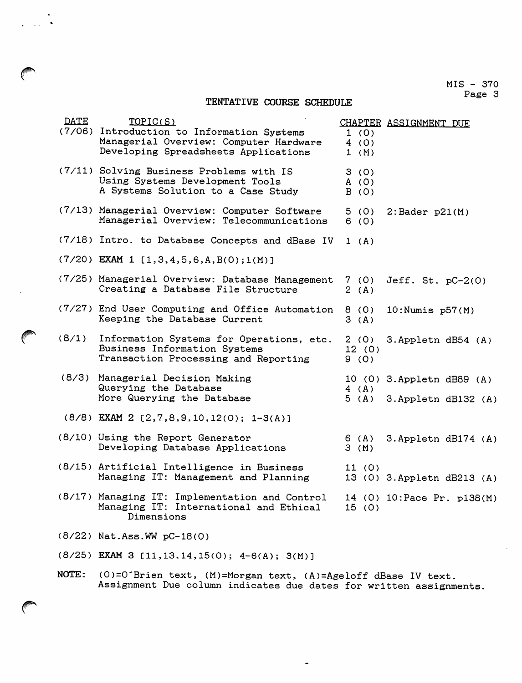## MIS - 370 Page 3

## TENTATIVE COURSE SCHEDULE

| <b>DATE</b> | TOPIC(S)<br>(7/06) Introduction to Information Systems<br>Managerial Overview: Computer Hardware<br>Developing Spreadsheets Applications | 1(0)<br>4(0)<br>1 (M) | CHAPTER ASSIGNMENT DUE                             |
|-------------|------------------------------------------------------------------------------------------------------------------------------------------|-----------------------|----------------------------------------------------|
|             | (7/11) Solving Business Problems with IS<br>Using Systems Development Tools<br>A Systems Solution to a Case Study                        | 3(0)<br>A(0)<br>B(0)  |                                                    |
|             | (7/13) Managerial Overview: Computer Software<br>Managerial Overview: Telecommunications                                                 | 5(0)<br>6(0)          | $2:$ Bader $p21(M)$                                |
|             | (7/18) Intro. to Database Concepts and dBase IV                                                                                          | $1$ (A)               |                                                    |
|             | $(7/20)$ EXAM 1 [1,3,4,5,6,A,B(0);1(M)]                                                                                                  |                       |                                                    |
|             | (7/25) Managerial Overview: Database Management<br>Creating a Database File Structure                                                    | 7(0)<br>2(A)          | Jeff. $St. pC-2(0)$                                |
|             | (7/27) End User Computing and Office Automation<br>Keeping the Database Current                                                          | 8 (0)<br>3(A)         | $10:$ Numis $p57(M)$                               |
| (8/1)       | Information Systems for Operations, etc.<br>Business Information Systems<br>Transaction Processing and Reporting                         | 2(0)<br>12(0)<br>9(0) | 3. Appletn dB54 (A)                                |
|             | (8/3) Managerial Decision Making<br>Querying the Database<br>More Querying the Database                                                  | 4(A)<br>5(A)          | 10 (0) 3. Appletn dB89 (A)<br>3. Appletn dB132 (A) |
|             | $(8/8)$ EXAM 2 [2,7,8,9,10,12(0); 1-3(A)]                                                                                                |                       |                                                    |
|             | (8/10) Using the Report Generator<br>Developing Database Applications                                                                    | 6 (A)<br>3(M)         | 3. Appletn dB174 (A)                               |
|             | (8/15) Artificial Intelligence in Business<br>Managing IT: Management and Planning                                                       | 11 (0)                | 13 (0) 3. Appletn dB213 (A)                        |
|             | (8/17) Managing IT: Implementation and Control<br>Managing IT: International and Ethical<br>Dimensions                                   | 15(0)                 | 14 (0) 10: Pace Pr. p138(M)                        |
|             | (8/22) Nat.Ass.WW pC-18(0)                                                                                                               |                       |                                                    |
|             | $(8/25)$ EXAM 3 [11, 13, 14, 15(0); 4-6(A); 3(M)]                                                                                        |                       |                                                    |

NOTE: (0)=0'Brien text, (M)=Morgan text, (A)=Ageloff dBase IV text. Assignment Due column indicates due dates for written assignments.

*SP\**

 $\sim 10$